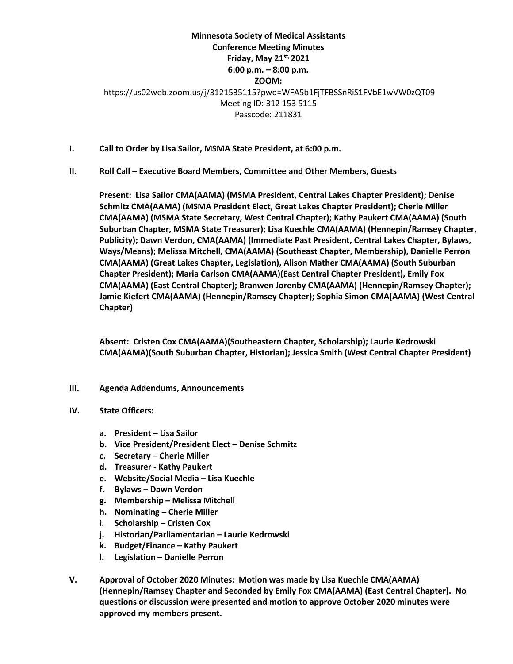## **Minnesota Society of Medical Assistants Conference Meeting Minutes Friday, May 21st, 2021 6:00 p.m. – 8:00 p.m. ZOOM:** https://us02web.zoom.us/j/3121535115?pwd=WFA5b1FjTFBSSnRiS1FVbE1wVW0zQT09 Meeting ID: 312 153 5115 Passcode: 211831

- **I. Call to Order by Lisa Sailor, MSMA State President, at 6:00 p.m.**
- **II. Roll Call – Executive Board Members, Committee and Other Members, Guests**

**Present: Lisa Sailor CMA(AAMA) (MSMA President, Central Lakes Chapter President); Denise Schmitz CMA(AAMA) (MSMA President Elect, Great Lakes Chapter President); Cherie Miller CMA(AAMA) (MSMA State Secretary, West Central Chapter); Kathy Paukert CMA(AAMA) (South Suburban Chapter, MSMA State Treasurer); Lisa Kuechle CMA(AAMA) (Hennepin/Ramsey Chapter, Publicity); Dawn Verdon, CMA(AAMA) (Immediate Past President, Central Lakes Chapter, Bylaws, Ways/Means); Melissa Mitchell, CMA(AAMA) (Southeast Chapter, Membership), Danielle Perron CMA(AAMA) (Great Lakes Chapter, Legislation), Alison Mather CMA(AAMA) (South Suburban Chapter President); Maria Carlson CMA(AAMA)(East Central Chapter President), Emily Fox CMA(AAMA) (East Central Chapter); Branwen Jorenby CMA(AAMA) (Hennepin/Ramsey Chapter); Jamie Kiefert CMA(AAMA) (Hennepin/Ramsey Chapter); Sophia Simon CMA(AAMA) (West Central Chapter)**

**Absent: Cristen Cox CMA(AAMA)(Southeastern Chapter, Scholarship); Laurie Kedrowski CMA(AAMA)(South Suburban Chapter, Historian); Jessica Smith (West Central Chapter President)**

- **III. Agenda Addendums, Announcements**
- **IV. State Officers:**
	- **a. President – Lisa Sailor**
	- **b. Vice President/President Elect – Denise Schmitz**
	- **c. Secretary – Cherie Miller**
	- **d. Treasurer - Kathy Paukert**
	- **e. Website/Social Media – Lisa Kuechle**
	- **f. Bylaws – Dawn Verdon**
	- **g. Membership – Melissa Mitchell**
	- **h. Nominating – Cherie Miller**
	- **i. Scholarship – Cristen Cox**
	- **j. Historian/Parliamentarian – Laurie Kedrowski**
	- **k. Budget/Finance – Kathy Paukert**
	- **l. Legislation – Danielle Perron**
- **V. Approval of October 2020 Minutes: Motion was made by Lisa Kuechle CMA(AAMA) (Hennepin/Ramsey Chapter and Seconded by Emily Fox CMA(AAMA) (East Central Chapter). No questions or discussion were presented and motion to approve October 2020 minutes were approved my members present.**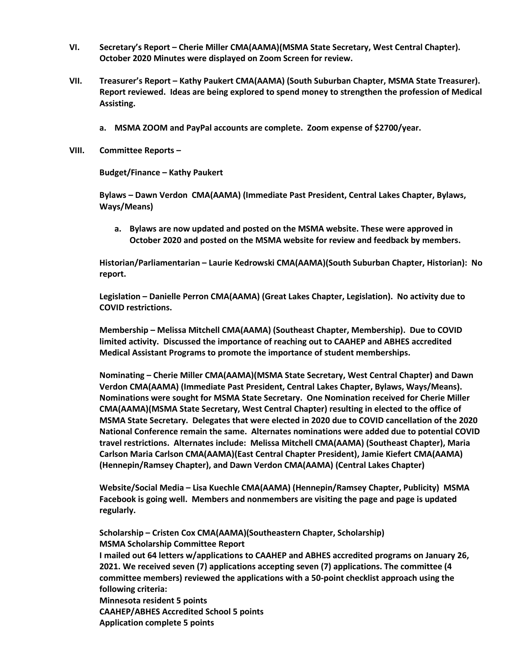- **VI. Secretary's Report – Cherie Miller CMA(AAMA)(MSMA State Secretary, West Central Chapter). October 2020 Minutes were displayed on Zoom Screen for review.**
- **VII. Treasurer's Report – Kathy Paukert CMA(AAMA) (South Suburban Chapter, MSMA State Treasurer). Report reviewed. Ideas are being explored to spend money to strengthen the profession of Medical Assisting.**
	- **a. MSMA ZOOM and PayPal accounts are complete. Zoom expense of \$2700/year.**
- **VIII. Committee Reports –**

**Budget/Finance – Kathy Paukert**

**Bylaws – Dawn Verdon CMA(AAMA) (Immediate Past President, Central Lakes Chapter, Bylaws, Ways/Means)**

**a. Bylaws are now updated and posted on the MSMA website. These were approved in October 2020 and posted on the MSMA website for review and feedback by members.**

**Historian/Parliamentarian – Laurie Kedrowski CMA(AAMA)(South Suburban Chapter, Historian): No report.**

**Legislation – Danielle Perron CMA(AAMA) (Great Lakes Chapter, Legislation). No activity due to COVID restrictions.**

**Membership – Melissa Mitchell CMA(AAMA) (Southeast Chapter, Membership). Due to COVID limited activity. Discussed the importance of reaching out to CAAHEP and ABHES accredited Medical Assistant Programs to promote the importance of student memberships.**

**Nominating – Cherie Miller CMA(AAMA)(MSMA State Secretary, West Central Chapter) and Dawn Verdon CMA(AAMA) (Immediate Past President, Central Lakes Chapter, Bylaws, Ways/Means). Nominations were sought for MSMA State Secretary. One Nomination received for Cherie Miller CMA(AAMA)(MSMA State Secretary, West Central Chapter) resulting in elected to the office of MSMA State Secretary. Delegates that were elected in 2020 due to COVID cancellation of the 2020 National Conference remain the same. Alternates nominations were added due to potential COVID travel restrictions. Alternates include: Melissa Mitchell CMA(AAMA) (Southeast Chapter), Maria Carlson Maria Carlson CMA(AAMA)(East Central Chapter President), Jamie Kiefert CMA(AAMA) (Hennepin/Ramsey Chapter), and Dawn Verdon CMA(AAMA) (Central Lakes Chapter)**

**Website/Social Media – Lisa Kuechle CMA(AAMA) (Hennepin/Ramsey Chapter, Publicity) MSMA Facebook is going well. Members and nonmembers are visiting the page and page is updated regularly.** 

**Scholarship – Cristen Cox CMA(AAMA)(Southeastern Chapter, Scholarship) MSMA Scholarship Committee Report I mailed out 64 letters w/applications to CAAHEP and ABHES accredited programs on January 26, 2021. We received seven (7) applications accepting seven (7) applications. The committee (4 committee members) reviewed the applications with a 50-point checklist approach using the following criteria: Minnesota resident 5 points CAAHEP/ABHES Accredited School 5 points Application complete 5 points**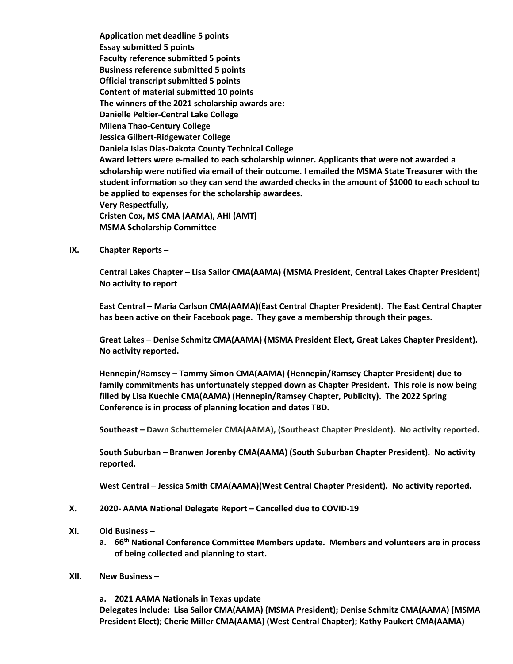**Application met deadline 5 points Essay submitted 5 points Faculty reference submitted 5 points Business reference submitted 5 points Official transcript submitted 5 points Content of material submitted 10 points The winners of the 2021 scholarship awards are: Danielle Peltier-Central Lake College Milena Thao-Century College Jessica Gilbert-Ridgewater College Daniela Islas Dias-Dakota County Technical College Award letters were e-mailed to each scholarship winner. Applicants that were not awarded a scholarship were notified via email of their outcome. I emailed the MSMA State Treasurer with the student information so they can send the awarded checks in the amount of \$1000 to each school to be applied to expenses for the scholarship awardees. Very Respectfully, Cristen Cox, MS CMA (AAMA), AHI (AMT) MSMA Scholarship Committee**

**IX. Chapter Reports –**

**Central Lakes Chapter – Lisa Sailor CMA(AAMA) (MSMA President, Central Lakes Chapter President) No activity to report**

**East Central – Maria Carlson CMA(AAMA)(East Central Chapter President). The East Central Chapter has been active on their Facebook page. They gave a membership through their pages.**

**Great Lakes – Denise Schmitz CMA(AAMA) (MSMA President Elect, Great Lakes Chapter President). No activity reported.**

**Hennepin/Ramsey – Tammy Simon CMA(AAMA) (Hennepin/Ramsey Chapter President) due to family commitments has unfortunately stepped down as Chapter President. This role is now being filled by Lisa Kuechle CMA(AAMA) (Hennepin/Ramsey Chapter, Publicity). The 2022 Spring Conference is in process of planning location and dates TBD.** 

**Southeast – Dawn Schuttemeier CMA(AAMA), (Southeast Chapter President). No activity reported.** 

**South Suburban – Branwen Jorenby CMA(AAMA) (South Suburban Chapter President). No activity reported.** 

**West Central – Jessica Smith CMA(AAMA)(West Central Chapter President). No activity reported.**

- **X. 2020- AAMA National Delegate Report – Cancelled due to COVID-19**
- **XI. Old Business –**
	- **a. 66th National Conference Committee Members update. Members and volunteers are in process of being collected and planning to start.**
- **XII. New Business –**

**a. 2021 AAMA Nationals in Texas update**

**Delegates include: Lisa Sailor CMA(AAMA) (MSMA President); Denise Schmitz CMA(AAMA) (MSMA President Elect); Cherie Miller CMA(AAMA) (West Central Chapter); Kathy Paukert CMA(AAMA)**